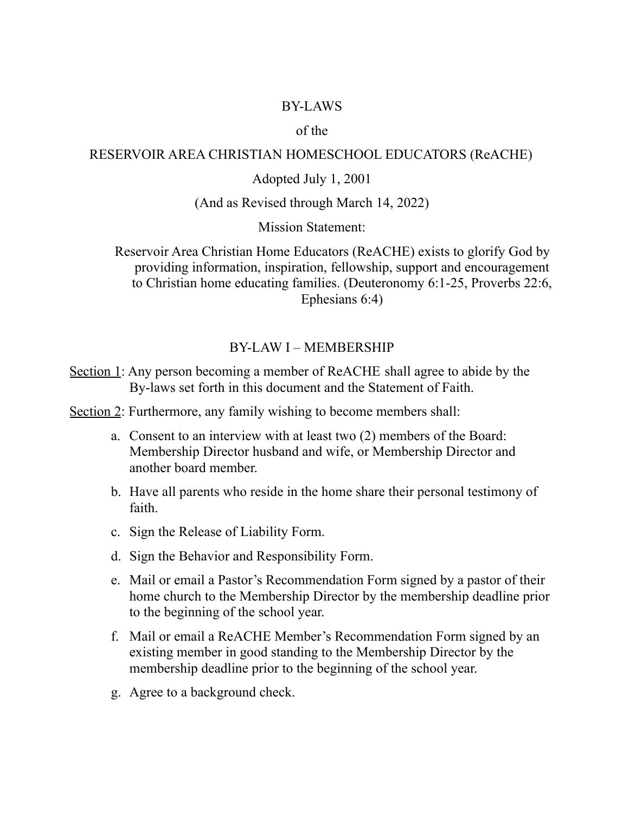### BY-LAWS

### of the

#### RESERVOIR AREA CHRISTIAN HOMESCHOOL EDUCATORS (ReACHE)

### Adopted July 1, 2001

#### (And as Revised through March 14, 2022)

Mission Statement:

Reservoir Area Christian Home Educators (ReACHE) exists to glorify God by providing information, inspiration, fellowship, support and encouragement to Christian home educating families. (Deuteronomy 6:1-25, Proverbs 22:6, Ephesians 6:4)

#### BY-LAW I – MEMBERSHIP

Section 1: Any person becoming a member of ReACHE shall agree to abide by the By-laws set forth in this document and the Statement of Faith.

Section 2: Furthermore, any family wishing to become members shall:

- a. Consent to an interview with at least two (2) members of the Board: Membership Director husband and wife, or Membership Director and another board member.
- b. Have all parents who reside in the home share their personal testimony of faith.
- c. Sign the Release of Liability Form.
- d. Sign the Behavior and Responsibility Form.
- e. Mail or email a Pastor's Recommendation Form signed by a pastor of their home church to the Membership Director by the membership deadline prior to the beginning of the school year.
- f. Mail or email a ReACHE Member's Recommendation Form signed by an existing member in good standing to the Membership Director by the membership deadline prior to the beginning of the school year.
- g. Agree to a background check.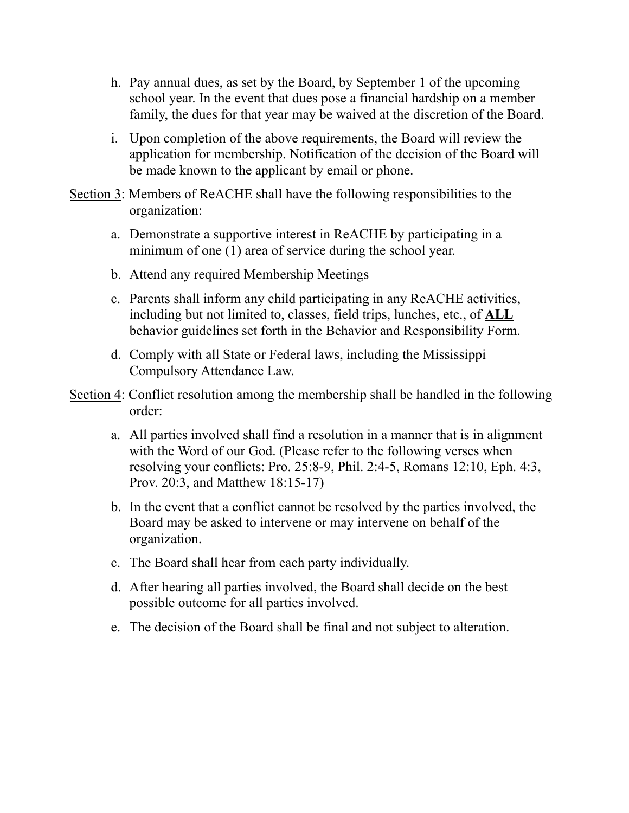- h. Pay annual dues, as set by the Board, by September 1 of the upcoming school year. In the event that dues pose a financial hardship on a member family, the dues for that year may be waived at the discretion of the Board.
- i. Upon completion of the above requirements, the Board will review the application for membership. Notification of the decision of the Board will be made known to the applicant by email or phone.
- Section 3: Members of ReACHE shall have the following responsibilities to the organization:
	- a. Demonstrate a supportive interest in ReACHE by participating in a minimum of one (1) area of service during the school year.
	- b. Attend any required Membership Meetings
	- c. Parents shall inform any child participating in any ReACHE activities, including but not limited to, classes, field trips, lunches, etc., of **ALL** behavior guidelines set forth in the Behavior and Responsibility Form.
	- d. Comply with all State or Federal laws, including the Mississippi Compulsory Attendance Law.
- Section 4: Conflict resolution among the membership shall be handled in the following order:
	- a. All parties involved shall find a resolution in a manner that is in alignment with the Word of our God. (Please refer to the following verses when resolving your conflicts: Pro. 25:8-9, Phil. 2:4-5, Romans 12:10, Eph. 4:3, Prov. 20:3, and Matthew 18:15-17)
	- b. In the event that a conflict cannot be resolved by the parties involved, the Board may be asked to intervene or may intervene on behalf of the organization.
	- c. The Board shall hear from each party individually.
	- d. After hearing all parties involved, the Board shall decide on the best possible outcome for all parties involved.
	- e. The decision of the Board shall be final and not subject to alteration.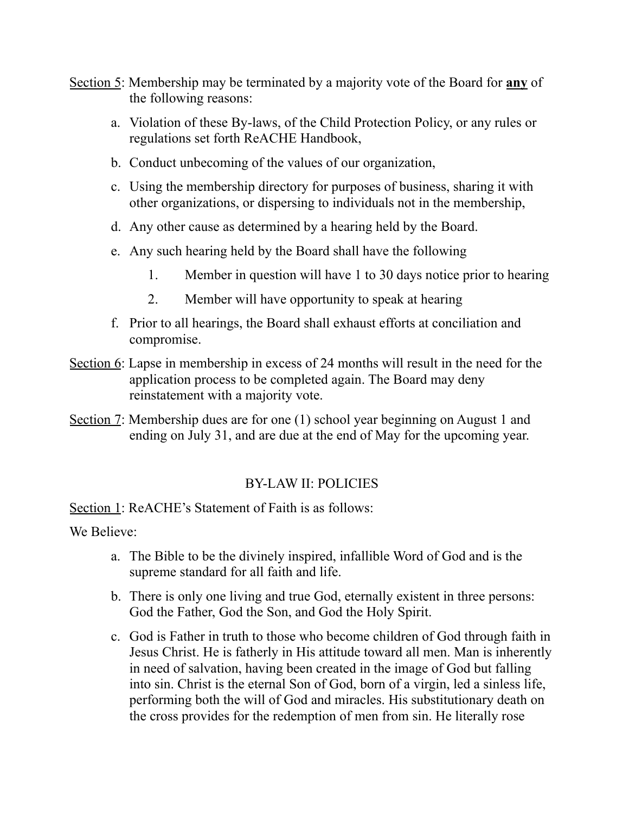- Section 5: Membership may be terminated by a majority vote of the Board for **any** of the following reasons:
	- a. Violation of these By-laws, of the Child Protection Policy, or any rules or regulations set forth ReACHE Handbook,
	- b. Conduct unbecoming of the values of our organization,
	- c. Using the membership directory for purposes of business, sharing it with other organizations, or dispersing to individuals not in the membership,
	- d. Any other cause as determined by a hearing held by the Board.
	- e. Any such hearing held by the Board shall have the following
		- 1. Member in question will have 1 to 30 days notice prior to hearing
		- 2. Member will have opportunity to speak at hearing
	- f. Prior to all hearings, the Board shall exhaust efforts at conciliation and compromise.
- Section 6: Lapse in membership in excess of 24 months will result in the need for the application process to be completed again. The Board may deny reinstatement with a majority vote.
- Section 7: Membership dues are for one (1) school year beginning on August 1 and ending on July 31, and are due at the end of May for the upcoming year.

# BY-LAW II: POLICIES

Section 1: ReACHE's Statement of Faith is as follows:

We Believe:

- a. The Bible to be the divinely inspired, infallible Word of God and is the supreme standard for all faith and life.
- b. There is only one living and true God, eternally existent in three persons: God the Father, God the Son, and God the Holy Spirit.
- c. God is Father in truth to those who become children of God through faith in Jesus Christ. He is fatherly in His attitude toward all men. Man is inherently in need of salvation, having been created in the image of God but falling into sin. Christ is the eternal Son of God, born of a virgin, led a sinless life, performing both the will of God and miracles. His substitutionary death on the cross provides for the redemption of men from sin. He literally rose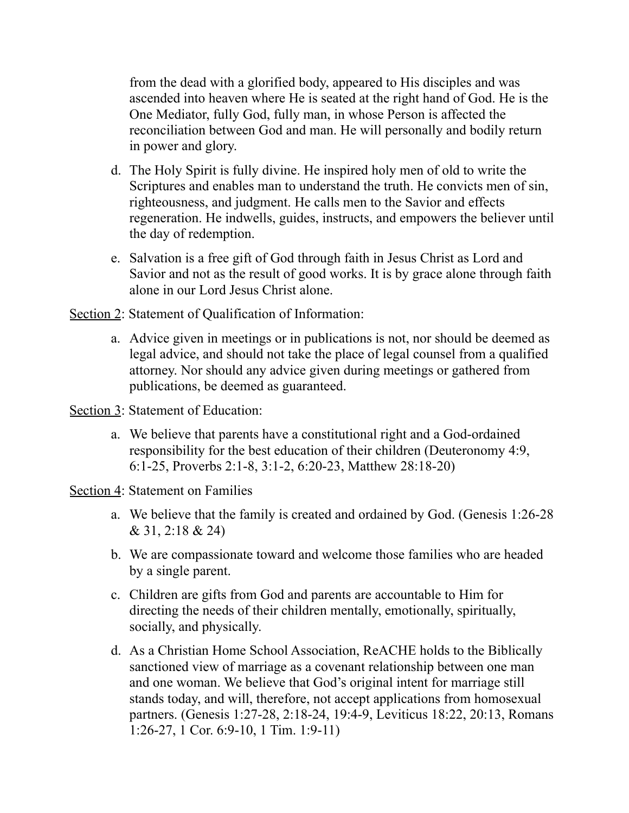from the dead with a glorified body, appeared to His disciples and was ascended into heaven where He is seated at the right hand of God. He is the One Mediator, fully God, fully man, in whose Person is affected the reconciliation between God and man. He will personally and bodily return in power and glory.

- d. The Holy Spirit is fully divine. He inspired holy men of old to write the Scriptures and enables man to understand the truth. He convicts men of sin, righteousness, and judgment. He calls men to the Savior and effects regeneration. He indwells, guides, instructs, and empowers the believer until the day of redemption.
- e. Salvation is a free gift of God through faith in Jesus Christ as Lord and Savior and not as the result of good works. It is by grace alone through faith alone in our Lord Jesus Christ alone.

Section 2: Statement of Qualification of Information:

- a. Advice given in meetings or in publications is not, nor should be deemed as legal advice, and should not take the place of legal counsel from a qualified attorney. Nor should any advice given during meetings or gathered from publications, be deemed as guaranteed.
- Section 3: Statement of Education:
	- a. We believe that parents have a constitutional right and a God-ordained responsibility for the best education of their children (Deuteronomy 4:9, 6:1-25, Proverbs 2:1-8, 3:1-2, 6:20-23, Matthew 28:18-20)
- Section 4: Statement on Families
	- a. We believe that the family is created and ordained by God. (Genesis 1:26-28 & 31, 2:18 & 24)
	- b. We are compassionate toward and welcome those families who are headed by a single parent.
	- c. Children are gifts from God and parents are accountable to Him for directing the needs of their children mentally, emotionally, spiritually, socially, and physically.
	- d. As a Christian Home School Association, ReACHE holds to the Biblically sanctioned view of marriage as a covenant relationship between one man and one woman. We believe that God's original intent for marriage still stands today, and will, therefore, not accept applications from homosexual partners. (Genesis 1:27-28, 2:18-24, 19:4-9, Leviticus 18:22, 20:13, Romans 1:26-27, 1 Cor. 6:9-10, 1 Tim. 1:9-11)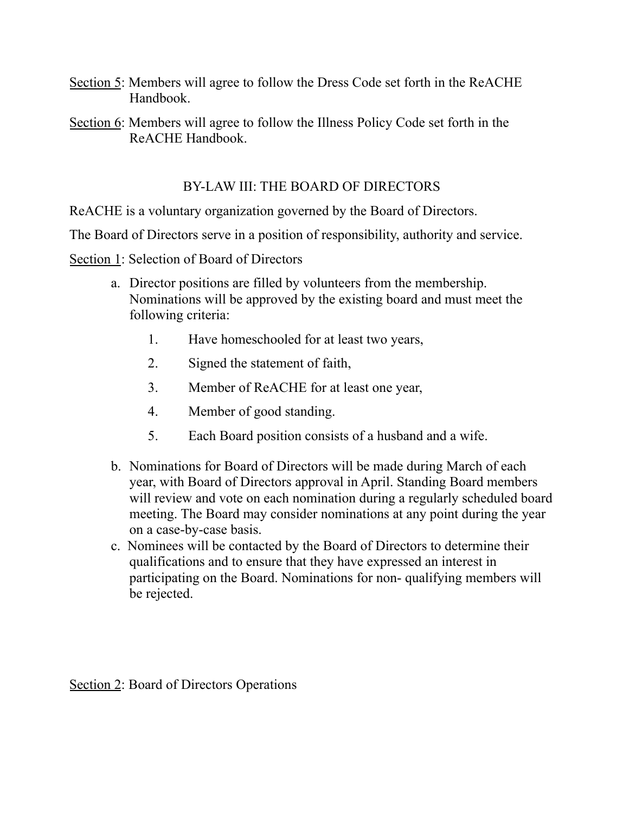- Section 5: Members will agree to follow the Dress Code set forth in the ReACHE Handbook.
- Section 6: Members will agree to follow the Illness Policy Code set forth in the ReACHE Handbook.

### BY-LAW III: THE BOARD OF DIRECTORS

ReACHE is a voluntary organization governed by the Board of Directors.

The Board of Directors serve in a position of responsibility, authority and service.

Section 1: Selection of Board of Directors

- a. Director positions are filled by volunteers from the membership. Nominations will be approved by the existing board and must meet the following criteria:
	- 1. Have homeschooled for at least two years,
	- 2. Signed the statement of faith,
	- 3. Member of ReACHE for at least one year,
	- 4. Member of good standing.
	- 5. Each Board position consists of a husband and a wife.
- b. Nominations for Board of Directors will be made during March of each year, with Board of Directors approval in April. Standing Board members will review and vote on each nomination during a regularly scheduled board meeting. The Board may consider nominations at any point during the year on a case-by-case basis.
- c. Nominees will be contacted by the Board of Directors to determine their qualifications and to ensure that they have expressed an interest in participating on the Board. Nominations for non- qualifying members will be rejected.

Section 2: Board of Directors Operations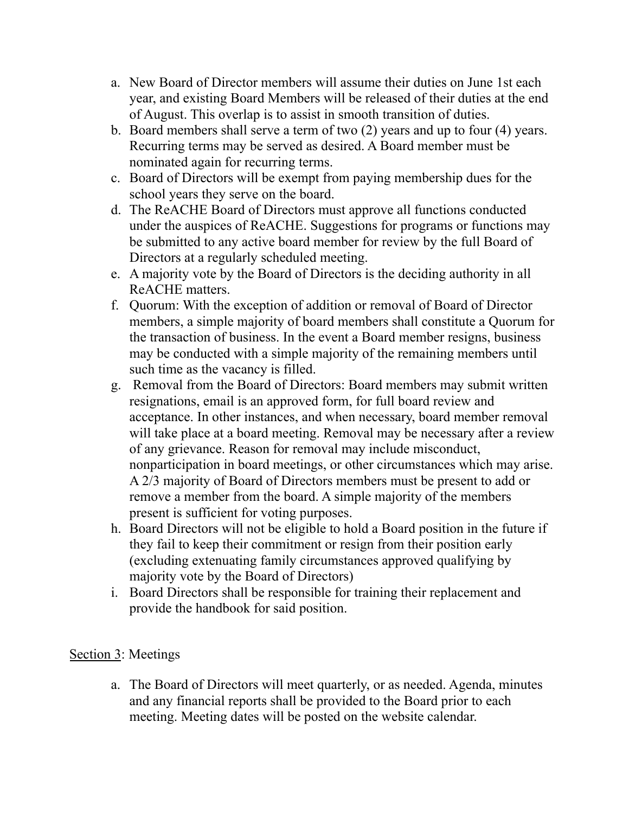- a. New Board of Director members will assume their duties on June 1st each year, and existing Board Members will be released of their duties at the end of August. This overlap is to assist in smooth transition of duties.
- b. Board members shall serve a term of two (2) years and up to four (4) years. Recurring terms may be served as desired. A Board member must be nominated again for recurring terms.
- c. Board of Directors will be exempt from paying membership dues for the school years they serve on the board.
- d. The ReACHE Board of Directors must approve all functions conducted under the auspices of ReACHE. Suggestions for programs or functions may be submitted to any active board member for review by the full Board of Directors at a regularly scheduled meeting.
- e. A majority vote by the Board of Directors is the deciding authority in all ReACHE matters.
- f. Quorum: With the exception of addition or removal of Board of Director members, a simple majority of board members shall constitute a Quorum for the transaction of business. In the event a Board member resigns, business may be conducted with a simple majority of the remaining members until such time as the vacancy is filled.
- g. Removal from the Board of Directors: Board members may submit written resignations, email is an approved form, for full board review and acceptance. In other instances, and when necessary, board member removal will take place at a board meeting. Removal may be necessary after a review of any grievance. Reason for removal may include misconduct, nonparticipation in board meetings, or other circumstances which may arise. A 2/3 majority of Board of Directors members must be present to add or remove a member from the board. A simple majority of the members present is sufficient for voting purposes.
- h. Board Directors will not be eligible to hold a Board position in the future if they fail to keep their commitment or resign from their position early (excluding extenuating family circumstances approved qualifying by majority vote by the Board of Directors)
- i. Board Directors shall be responsible for training their replacement and provide the handbook for said position.

## Section 3: Meetings

a. The Board of Directors will meet quarterly, or as needed. Agenda, minutes and any financial reports shall be provided to the Board prior to each meeting. Meeting dates will be posted on the website calendar.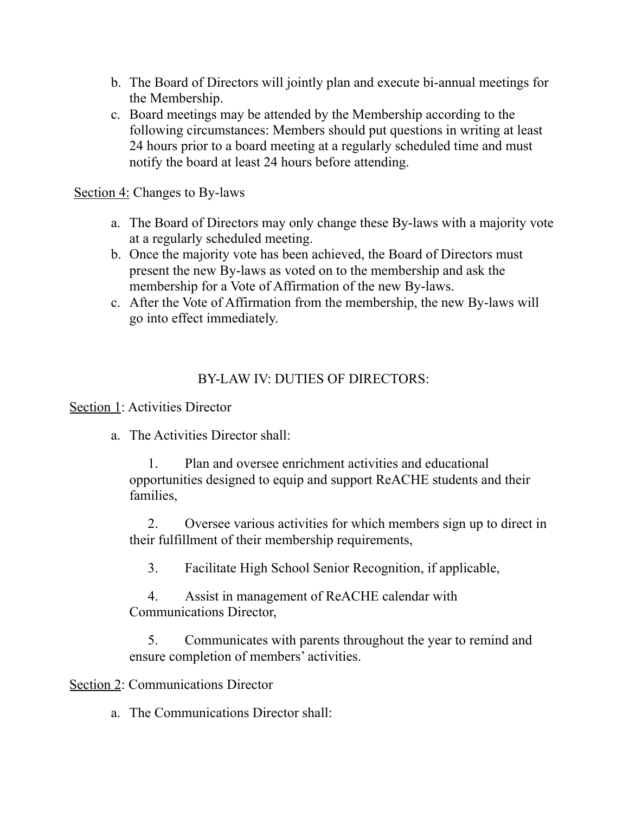- b. The Board of Directors will jointly plan and execute bi-annual meetings for the Membership.
- c. Board meetings may be attended by the Membership according to the following circumstances: Members should put questions in writing at least 24 hours prior to a board meeting at a regularly scheduled time and must notify the board at least 24 hours before attending.

## Section 4: Changes to By-laws

- a. The Board of Directors may only change these By-laws with a majority vote at a regularly scheduled meeting.
- b. Once the majority vote has been achieved, the Board of Directors must present the new By-laws as voted on to the membership and ask the membership for a Vote of Affirmation of the new By-laws.
- c. After the Vote of Affirmation from the membership, the new By-laws will go into effect immediately.

## BY-LAW IV: DUTIES OF DIRECTORS:

Section 1: Activities Director

a. The Activities Director shall:

1. Plan and oversee enrichment activities and educational opportunities designed to equip and support ReACHE students and their families,

2. Oversee various activities for which members sign up to direct in their fulfillment of their membership requirements,

3. Facilitate High School Senior Recognition, if applicable,

4. Assist in management of ReACHE calendar with Communications Director,

5. Communicates with parents throughout the year to remind and ensure completion of members' activities.

Section 2: Communications Director

a. The Communications Director shall: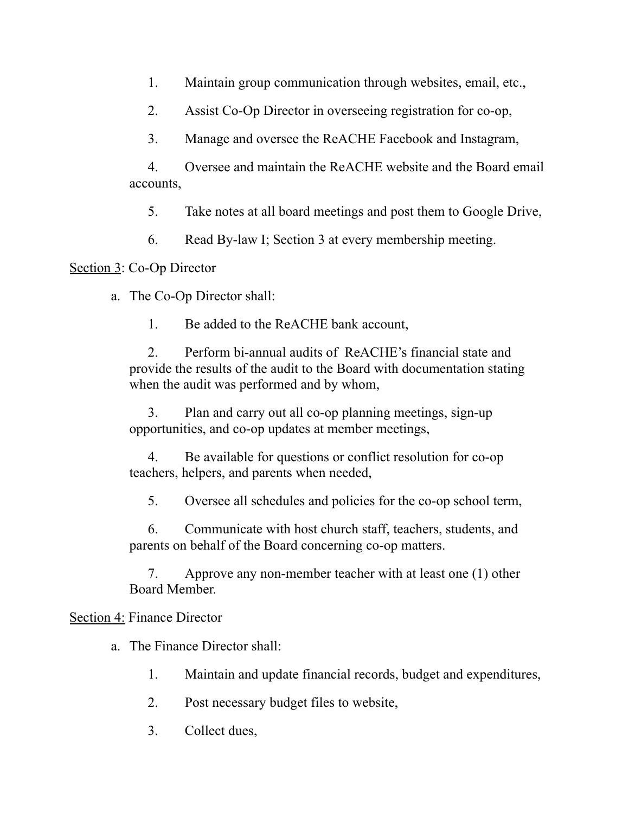1. Maintain group communication through websites, email, etc.,

2. Assist Co-Op Director in overseeing registration for co-op,

3. Manage and oversee the ReACHE Facebook and Instagram,

4. Oversee and maintain the ReACHE website and the Board email accounts,

5. Take notes at all board meetings and post them to Google Drive,

6. Read By-law I; Section 3 at every membership meeting.

# Section 3: Co-Op Director

a. The Co-Op Director shall:

1. Be added to the ReACHE bank account,

2. Perform bi-annual audits of ReACHE's financial state and provide the results of the audit to the Board with documentation stating when the audit was performed and by whom,

3. Plan and carry out all co-op planning meetings, sign-up opportunities, and co-op updates at member meetings,

4. Be available for questions or conflict resolution for co-op teachers, helpers, and parents when needed,

5. Oversee all schedules and policies for the co-op school term,

6. Communicate with host church staff, teachers, students, and parents on behalf of the Board concerning co-op matters.

7. Approve any non-member teacher with at least one (1) other Board Member.

# Section 4: Finance Director

a. The Finance Director shall:

- 1. Maintain and update financial records, budget and expenditures,
- 2. Post necessary budget files to website,
- 3. Collect dues,